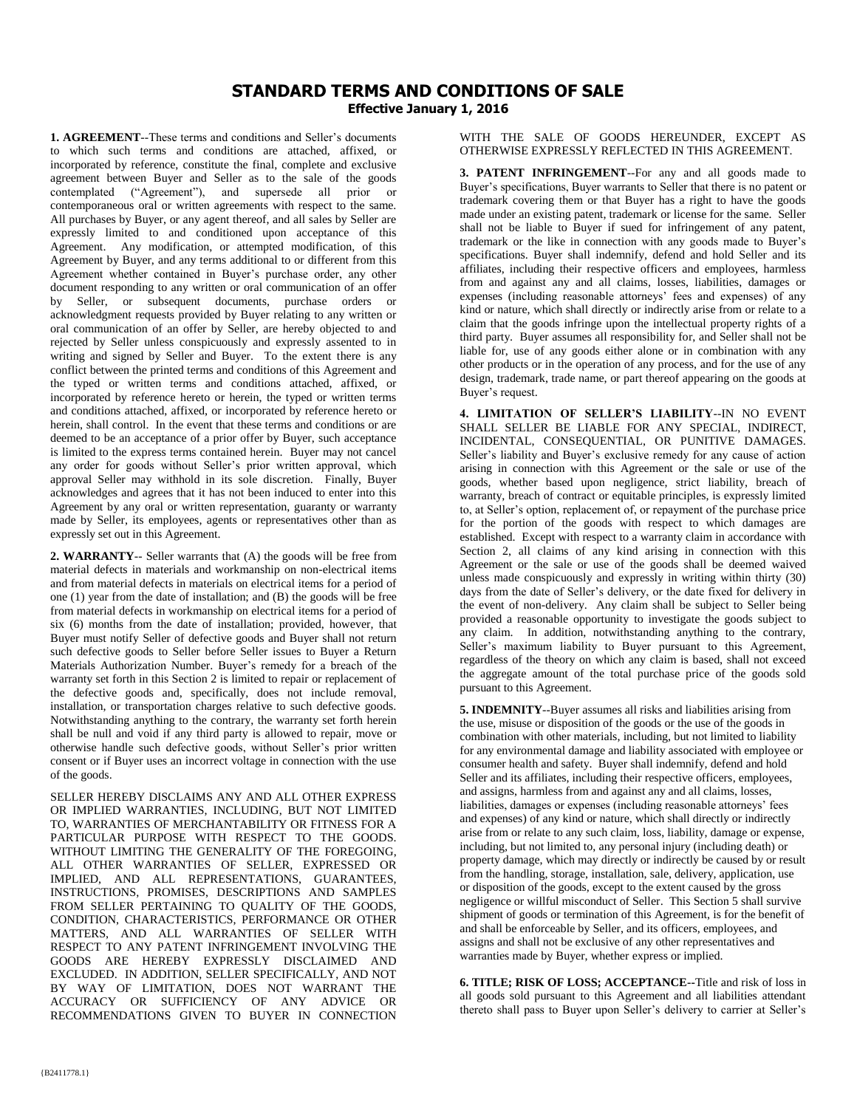## **STANDARD TERMS AND CONDITIONS OF SALE Effective January 1, 2016**

**1. AGREEMENT**--These terms and conditions and Seller's documents to which such terms and conditions are attached, affixed, or incorporated by reference, constitute the final, complete and exclusive agreement between Buyer and Seller as to the sale of the goods contemplated ("Agreement"), and supersede all prior or contemporaneous oral or written agreements with respect to the same. All purchases by Buyer, or any agent thereof, and all sales by Seller are expressly limited to and conditioned upon acceptance of this Agreement. Any modification, or attempted modification, of this Agreement by Buyer, and any terms additional to or different from this Agreement whether contained in Buyer's purchase order, any other document responding to any written or oral communication of an offer by Seller, or subsequent documents, purchase orders or acknowledgment requests provided by Buyer relating to any written or oral communication of an offer by Seller, are hereby objected to and rejected by Seller unless conspicuously and expressly assented to in writing and signed by Seller and Buyer. To the extent there is any conflict between the printed terms and conditions of this Agreement and the typed or written terms and conditions attached, affixed, or incorporated by reference hereto or herein, the typed or written terms and conditions attached, affixed, or incorporated by reference hereto or herein, shall control. In the event that these terms and conditions or are deemed to be an acceptance of a prior offer by Buyer, such acceptance is limited to the express terms contained herein. Buyer may not cancel any order for goods without Seller's prior written approval, which approval Seller may withhold in its sole discretion. Finally, Buyer acknowledges and agrees that it has not been induced to enter into this Agreement by any oral or written representation, guaranty or warranty made by Seller, its employees, agents or representatives other than as expressly set out in this Agreement.

**2. WARRANTY**-- Seller warrants that (A) the goods will be free from material defects in materials and workmanship on non-electrical items and from material defects in materials on electrical items for a period of one (1) year from the date of installation; and (B) the goods will be free from material defects in workmanship on electrical items for a period of six (6) months from the date of installation; provided, however, that Buyer must notify Seller of defective goods and Buyer shall not return such defective goods to Seller before Seller issues to Buyer a Return Materials Authorization Number. Buyer's remedy for a breach of the warranty set forth in this Section 2 is limited to repair or replacement of the defective goods and, specifically, does not include removal, installation, or transportation charges relative to such defective goods. Notwithstanding anything to the contrary, the warranty set forth herein shall be null and void if any third party is allowed to repair, move or otherwise handle such defective goods, without Seller's prior written consent or if Buyer uses an incorrect voltage in connection with the use of the goods.

SELLER HEREBY DISCLAIMS ANY AND ALL OTHER EXPRESS OR IMPLIED WARRANTIES, INCLUDING, BUT NOT LIMITED TO, WARRANTIES OF MERCHANTABILITY OR FITNESS FOR A PARTICULAR PURPOSE WITH RESPECT TO THE GOODS. WITHOUT LIMITING THE GENERALITY OF THE FOREGOING. ALL OTHER WARRANTIES OF SELLER, EXPRESSED OR IMPLIED, AND ALL REPRESENTATIONS, GUARANTEES, INSTRUCTIONS, PROMISES, DESCRIPTIONS AND SAMPLES FROM SELLER PERTAINING TO QUALITY OF THE GOODS, CONDITION, CHARACTERISTICS, PERFORMANCE OR OTHER MATTERS, AND ALL WARRANTIES OF SELLER WITH RESPECT TO ANY PATENT INFRINGEMENT INVOLVING THE GOODS ARE HEREBY EXPRESSLY DISCLAIMED AND EXCLUDED. IN ADDITION, SELLER SPECIFICALLY, AND NOT BY WAY OF LIMITATION, DOES NOT WARRANT THE ACCURACY OR SUFFICIENCY OF ANY ADVICE OR RECOMMENDATIONS GIVEN TO BUYER IN CONNECTION WITH THE SALE OF GOODS HEREUNDER, EXCEPT AS OTHERWISE EXPRESSLY REFLECTED IN THIS AGREEMENT.

**3. PATENT INFRINGEMENT**--For any and all goods made to Buyer's specifications, Buyer warrants to Seller that there is no patent or trademark covering them or that Buyer has a right to have the goods made under an existing patent, trademark or license for the same. Seller shall not be liable to Buyer if sued for infringement of any patent, trademark or the like in connection with any goods made to Buyer's specifications. Buyer shall indemnify, defend and hold Seller and its affiliates, including their respective officers and employees, harmless from and against any and all claims, losses, liabilities, damages or expenses (including reasonable attorneys' fees and expenses) of any kind or nature, which shall directly or indirectly arise from or relate to a claim that the goods infringe upon the intellectual property rights of a third party. Buyer assumes all responsibility for, and Seller shall not be liable for, use of any goods either alone or in combination with any other products or in the operation of any process, and for the use of any design, trademark, trade name, or part thereof appearing on the goods at Buyer's request.

**4. LIMITATION OF SELLER'S LIABILITY**--IN NO EVENT SHALL SELLER BE LIABLE FOR ANY SPECIAL, INDIRECT, INCIDENTAL, CONSEQUENTIAL, OR PUNITIVE DAMAGES. Seller's liability and Buyer's exclusive remedy for any cause of action arising in connection with this Agreement or the sale or use of the goods, whether based upon negligence, strict liability, breach of warranty, breach of contract or equitable principles, is expressly limited to, at Seller's option, replacement of, or repayment of the purchase price for the portion of the goods with respect to which damages are established. Except with respect to a warranty claim in accordance with Section 2, all claims of any kind arising in connection with this Agreement or the sale or use of the goods shall be deemed waived unless made conspicuously and expressly in writing within thirty (30) days from the date of Seller's delivery, or the date fixed for delivery in the event of non-delivery. Any claim shall be subject to Seller being provided a reasonable opportunity to investigate the goods subject to any claim. In addition, notwithstanding anything to the contrary, Seller's maximum liability to Buyer pursuant to this Agreement, regardless of the theory on which any claim is based, shall not exceed the aggregate amount of the total purchase price of the goods sold pursuant to this Agreement.

**5. INDEMNITY**--Buyer assumes all risks and liabilities arising from the use, misuse or disposition of the goods or the use of the goods in combination with other materials, including, but not limited to liability for any environmental damage and liability associated with employee or consumer health and safety. Buyer shall indemnify, defend and hold Seller and its affiliates, including their respective officers, employees, and assigns, harmless from and against any and all claims, losses, liabilities, damages or expenses (including reasonable attorneys' fees and expenses) of any kind or nature, which shall directly or indirectly arise from or relate to any such claim, loss, liability, damage or expense, including, but not limited to, any personal injury (including death) or property damage, which may directly or indirectly be caused by or result from the handling, storage, installation, sale, delivery, application, use or disposition of the goods, except to the extent caused by the gross negligence or willful misconduct of Seller. This Section 5 shall survive shipment of goods or termination of this Agreement, is for the benefit of and shall be enforceable by Seller, and its officers, employees, and assigns and shall not be exclusive of any other representatives and warranties made by Buyer, whether express or implied.

**6. TITLE; RISK OF LOSS; ACCEPTANCE--**Title and risk of loss in all goods sold pursuant to this Agreement and all liabilities attendant thereto shall pass to Buyer upon Seller's delivery to carrier at Seller's